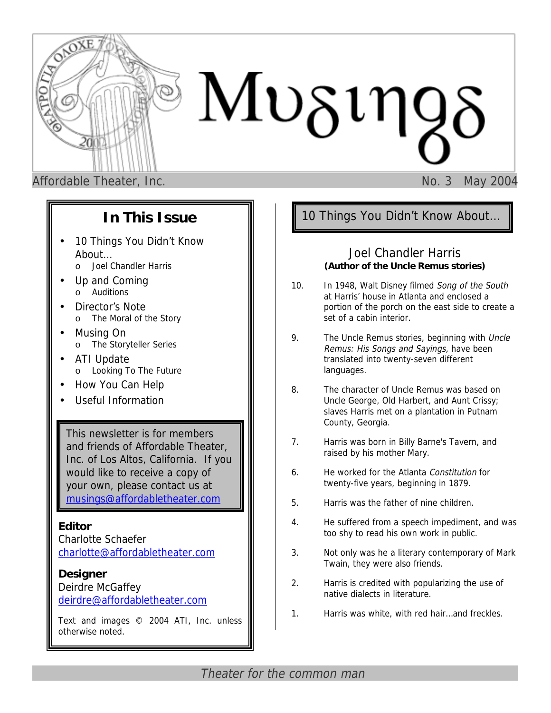

Affordable Theater, Inc. **No. 3 May 2004** 

## **In This Issue**

- 10 Things You Didn't Know About…
	- o Joel Chandler Harris
- Up and Coming o Auditions
- Director's Note o The Moral of the Story
- Musing On o The Storyteller Series
- ATI Update o Looking To The Future
- How You Can Help
- Useful Information

This newsletter is for members and friends of Affordable Theater, Inc. of Los Altos, California. If you would like to receive a copy of your own, please contact us at [musings@affordabletheater.com](mailto:musings@affordabletheater.com)

### **Editor**

Charlotte Schaefer c[harlotte@affordabletheater.com](mailto:charlotte@affordabletheater.com)

### **Designer**

Deirdre McGaffey d[eirdre@affordabletheater.com](mailto:deirdre@affordabletheater.com)

Text and images © 2004 ATI, Inc. unless otherwise noted.

## 10 Things You Didn't Know About…

### Joel Chandler Harris **(Author of the Uncle Remus stories)**

- 10. In 1948, Walt Disney filmed Song of the South at Harris' house in Atlanta and enclosed a portion of the porch on the east side to create a set of a cabin interior.
- 9. The Uncle Remus stories, beginning with Uncle Remus: His Songs and Sayings, have been translated into twenty-seven different languages.
- 8. The character of Uncle Remus was based on Uncle George, Old Harbert, and Aunt Crissy; slaves Harris met on a plantation in Putnam County, Georgia.
- 7. Harris was born in Billy Barne's Tavern, and raised by his mother Mary.
- 6. He worked for the Atlanta Constitution for twenty-five years, beginning in 1879.
- 5. Harris was the father of nine children.
- 4. He suffered from a speech impediment, and was too shy to read his own work in public.
- 3. Not only was he a literary contemporary of Mark Twain, they were also friends.
- 2. Harris is credited with popularizing the use of native dialects in literature.
- 1. Harris was white, with red hair…and freckles.

Theater for the common man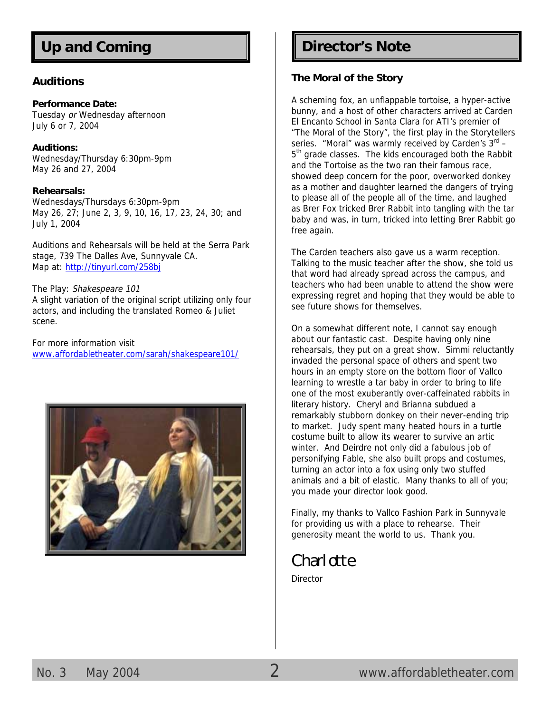#### **Auditions**

#### **Performance Date:**

Tuesday or Wednesday afternoon July 6 or 7, 2004

**Auditions:**  Wednesday/Thursday 6:30pm-9pm May 26 and 27, 2004

#### **Rehearsals:**

Wednesdays/Thursdays 6:30pm-9pm May 26, 27; June 2, 3, 9, 10, 16, 17, 23, 24, 30; and July 1, 2004

Auditions and Rehearsals will be held at the Serra Park stage, 739 The Dalles Ave, Sunnyvale CA. Map a[t: http://tinyurl.com/258b](http://tinyurl.com/258bj)j

The Play: Shakespeare 101 A slight variation of the original script utilizing only four actors, and including the translated Romeo & Juliet scene.

For more information visit [www.affordabletheater.com/sarah/shakespeare101/](http://www.affordabletheater.com/sarah/shakespeare101/)



# Up and Coming **Director's Note**

#### **The Moral of the Story**

A scheming fox, an unflappable tortoise, a hyper-active bunny, and a host of other characters arrived at Carden El Encanto School in Santa Clara for ATI's premier of "The Moral of the Story", the first play in the Storytellers series. "Moral" was warmly received by Carden's  $3<sup>rd</sup>$  –  $5<sup>th</sup>$  grade classes. The kids encouraged both the Rabbit and the Tortoise as the two ran their famous race, showed deep concern for the poor, overworked donkey as a mother and daughter learned the dangers of trying to please all of the people all of the time, and laughed as Brer Fox tricked Brer Rabbit into tangling with the tar baby and was, in turn, tricked into letting Brer Rabbit go free again.

The Carden teachers also gave us a warm reception. Talking to the music teacher after the show, she told us that word had already spread across the campus, and teachers who had been unable to attend the show were expressing regret and hoping that they would be able to see future shows for themselves.

On a somewhat different note, I cannot say enough about our fantastic cast. Despite having only nine rehearsals, they put on a great show. Simmi reluctantly invaded the personal space of others and spent two hours in an empty store on the bottom floor of Vallco learning to wrestle a tar baby in order to bring to life one of the most exuberantly over-caffeinated rabbits in literary history. Cheryl and Brianna subdued a remarkably stubborn donkey on their never-ending trip to market. Judy spent many heated hours in a turtle costume built to allow its wearer to survive an artic winter. And Deirdre not only did a fabulous job of personifying Fable, she also built props and costumes, turning an actor into a fox using only two stuffed animals and a bit of elastic. Many thanks to all of you; you made your director look good.

Finally, my thanks to Vallco Fashion Park in Sunnyvale for providing us with a place to rehearse. Their generosity meant the world to us. Thank you.

## Charlotte

**Director**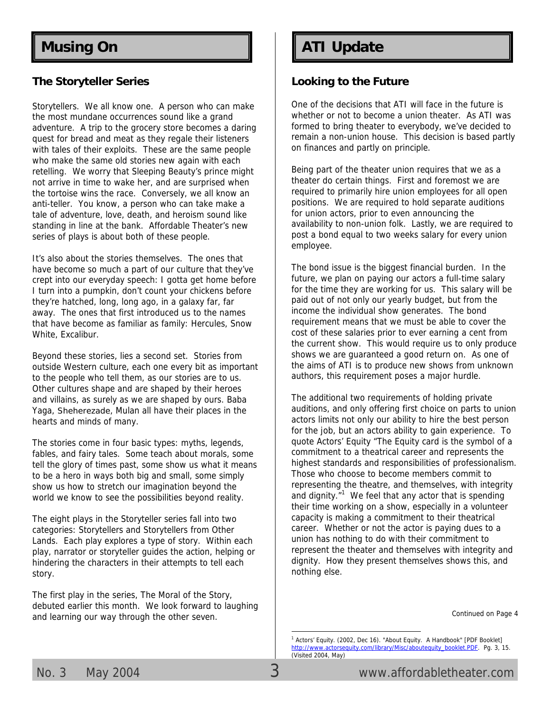#### **The Storyteller Series**

Storytellers. We all know one. A person who can make the most mundane occurrences sound like a grand adventure. A trip to the grocery store becomes a daring quest for bread and meat as they regale their listeners with tales of their exploits. These are the same people who make the same old stories new again with each retelling. We worry that Sleeping Beauty's prince might not arrive in time to wake her, and are surprised when the tortoise wins the race. Conversely, we all know an anti-teller. You know, a person who can take make a tale of adventure, love, death, and heroism sound like standing in line at the bank. Affordable Theater's new series of plays is about both of these people.

It's also about the stories themselves. The ones that have become so much a part of our culture that they've crept into our everyday speech: I gotta get home before I turn into a pumpkin, don't count your chickens before they're hatched, long, long ago, in a galaxy far, far away. The ones that first introduced us to the names that have become as familiar as family: Hercules, Snow White, Excalibur.

Beyond these stories, lies a second set. Stories from outside Western culture, each one every bit as important to the people who tell them, as our stories are to us. Other cultures shape and are shaped by their heroes and villains, as surely as we are shaped by ours. Baba Yaga, Sheherezade, Mulan all have their places in the hearts and minds of many.

The stories come in four basic types: myths, legends, fables, and fairy tales. Some teach about morals, some tell the glory of times past, some show us what it means to be a hero in ways both big and small, some simply show us how to stretch our imagination beyond the world we know to see the possibilities beyond reality.

The eight plays in the Storyteller series fall into two categories: Storytellers and Storytellers from Other Lands. Each play explores a type of story. Within each play, narrator or storyteller guides the action, helping or hindering the characters in their attempts to tell each story.

The first play in the series, The Moral of the Story, debuted earlier this month. We look forward to laughing and learning our way through the other seven.

## **Musing On ATI Update**

#### **Looking to the Future**

One of the decisions that ATI will face in the future is whether or not to become a union theater. As ATI was formed to bring theater to everybody, we've decided to remain a non-union house. This decision is based partly on finances and partly on principle.

Being part of the theater union requires that we as a theater do certain things. First and foremost we are required to primarily hire union employees for all open positions. We are required to hold separate auditions for union actors, prior to even announcing the availability to non-union folk. Lastly, we are required to post a bond equal to two weeks salary for every union employee.

The bond issue is the biggest financial burden. In the future, we plan on paying our actors a full-time salary for the time they are working for us. This salary will be paid out of not only our yearly budget, but from the income the individual show generates. The bond requirement means that we must be able to cover the cost of these salaries prior to ever earning a cent from the current show. This would require us to only produce shows we are guaranteed a good return on. As one of the aims of ATI is to produce new shows from unknown authors, this requirement poses a major hurdle.

The additional two requirements of holding private auditions, and only offering first choice on parts to union actors limits not only our ability to hire the best person for the job, but an actors ability to gain experience. To quote Actors' Equity "The Equity card is the symbol of a commitment to a theatrical career and represents the highest standards and responsibilities of professionalism. Those who choose to become members commit to representing the theatre, and themselves, with integrity and dignity. $1/1$  We feel that any actor that is spending their time working on a show, especially in a volunteer capacity is making a commitment to their theatrical career. Whether or not the actor is paying dues to a union has nothing to do with their commitment to represent the theater and themselves with integrity and dignity. How they present themselves shows this, and nothing else.

Continued on Page 4

<sup>&</sup>lt;sup>1</sup> Actors' Equity. (2002, Dec 16). "About Equity. A Handbook" [PDF Booklet] http://www.actorsequity.com/library/Misc/aboutequity\_booklet.PDF. Pg. 3, 15. (Visited 2004, May)